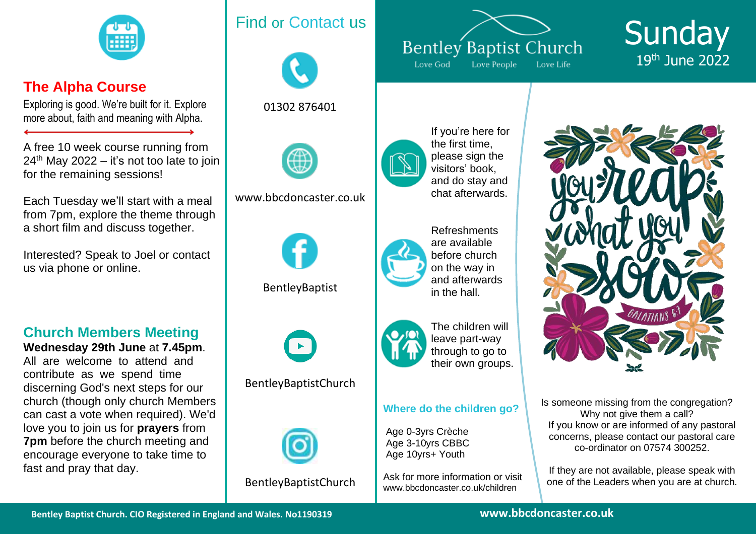

# **The Alpha Course**

Exploring is good. We're built for it. Explore more about, faith and meaning with Alpha.

A free 10 week course running from  $24<sup>th</sup>$  May 2022 – it's not too late to join for the remaining sessions!

Each Tuesday we'll start with a meal from 7pm, explore the theme through a short film and discuss together.

Interested? Speak to Joel or contact us via phone or online.

# **Church Members Meeting**

**Wednesday 29th June** at **7.45pm**. All are welcome to attend and contribute as we spend time discerning God's next steps for our church (though only church Members can cast a vote when required). We'd love you to join us for **prayers** from **7pm** before the church meeting and encourage everyone to take time to fast and pray that day.

# Find or Contact us



01302 876401



<www.bbcdoncaster.co.uk>



[BentleyBaptist](facebook.com/bentleybaptist)



[BentleyBaptistChurch](https://www.youtube.com/c/BentleyBaptistChurch)



[BentleyBaptistChurch](https://www.instagram.com/bentleybaptistchurch/)



**Sunday** 19 th June 2022



If you're here for the first time, please sign the visitors' book, and do stay and chat afterwards.



Refreshments are available before church on the way in and afterwards in the hall.



The children will leave part-way through to go to their own groups.

#### **Where do the children go?**

Age 0-3yrs Crèche Age 3-10yrs CBBC Age 10yrs+ Youth

Ask for more information or visit <www.bbcdoncaster.co.uk/children>



Is someone missing from the congregation? Why not give them a call? If you know or are informed of any pastoral concerns, please contact our pastoral care co-ordinator on 07574 300252.

If they are not available, please speak with one of the Leaders when you are at church.